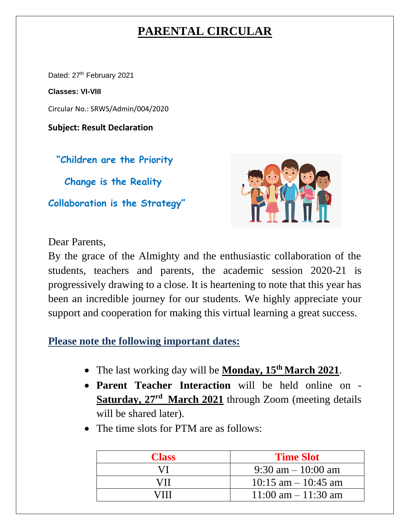## **PARENTAL CIRCULAR**

Dated: 27<sup>th</sup> February 2021

**Classes: VI-VIII**

Circular No.: SRWS/Admin/004/2020

**Subject: Result Declaration**

 **"Children are the Priority** 

 **Change is the Reality**

**Collaboration is the Strategy"**



## Dear Parents,

By the grace of the Almighty and the enthusiastic collaboration of the students, teachers and parents, the academic session 2020-21 is progressively drawing to a close. It is heartening to note that this year has been an incredible journey for our students. We highly appreciate your support and cooperation for making this virtual learning a great success.

**Please note the following important dates:**

- The last working day will be **Monday, 15<sup>th</sup> March 2021**.
- **Parent Teacher Interaction** will be held online on Saturday, 27<sup>rd</sup> March 2021 through Zoom (meeting details will be shared later).
- The time slots for PTM are as follows:

| <b>Class</b> | <b>Time Slot</b>                     |  |
|--------------|--------------------------------------|--|
| VI.          | $9:30 \text{ am} - 10:00 \text{ am}$ |  |
| VH.          | $10:15$ am $-10:45$ am               |  |
|              | $11:00$ am $-11:30$ am               |  |